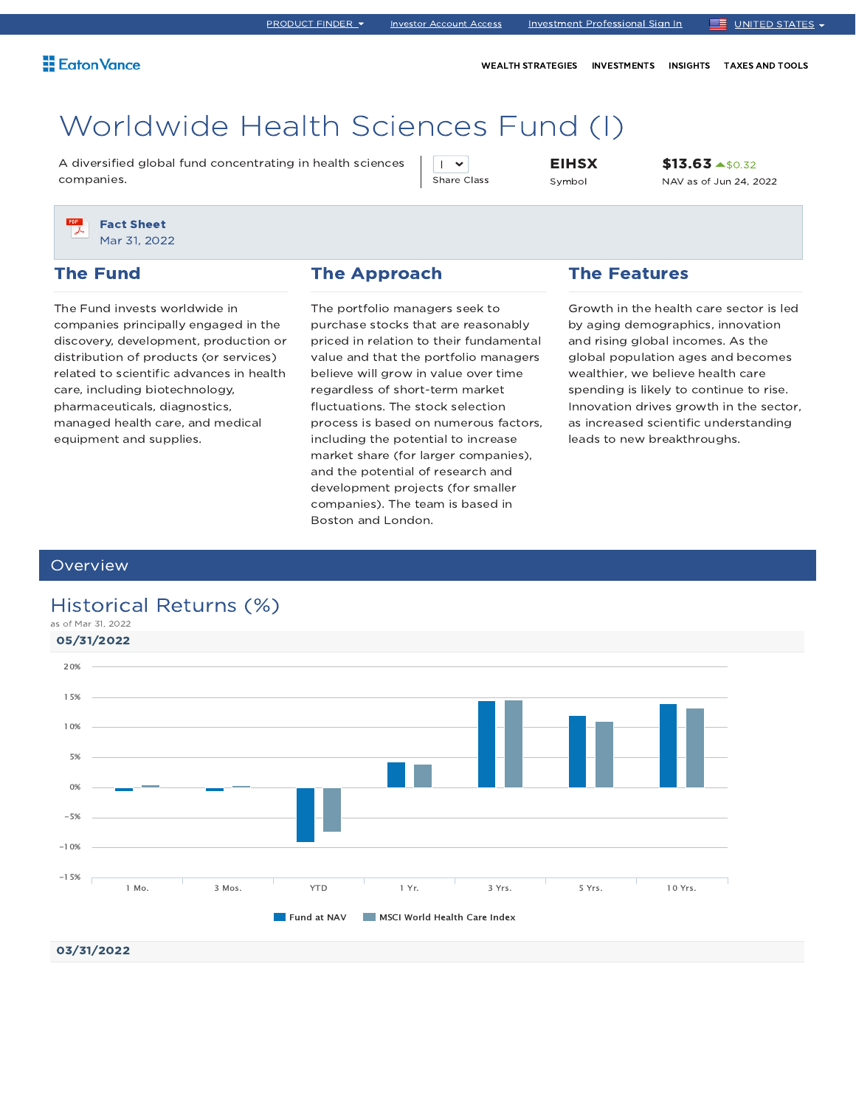WEALTH STRATEGIES INVESTMENTS INSIGHTS TAXES AND TOOLS

# Worldwide Health Sciences Fund (I)

A diversified global fund concentrating in health sciences companies.

 $\mathsf{I}$   $\mathsf{v}$ Share Class EIHSX Symbol

\$13.63 \$0.32 NAV as of Jun 24, 2022



### The Fund

The Fund invests worldwide in companies principally engaged in the discovery, development, production or distribution of products (or services) related to scientific advances in health care, including biotechnology, pharmaceuticals, diagnostics, managed health care, and medical equipment and supplies.

### The Approach

The portfolio managers seek to purchase stocks that are reasonably priced in relation to their fundamental value and that the portfolio managers believe will grow in value over time regardless of short-term market fluctuations. The stock selection process is based on numerous factors, including the potential to increase market share (for larger companies), and the potential of research and development projects (for smaller companies). The team is based in Boston and London.

### The Features

Growth in the health care sector is led by aging demographics, innovation and rising global incomes. As the global population ages and becomes wealthier, we believe health care spending is likely to continue to rise. Innovation drives growth in the sector, as increased scientific understanding leads to new breakthroughs.

### **Overview**

03/31/2022

### Historical Returns (%)

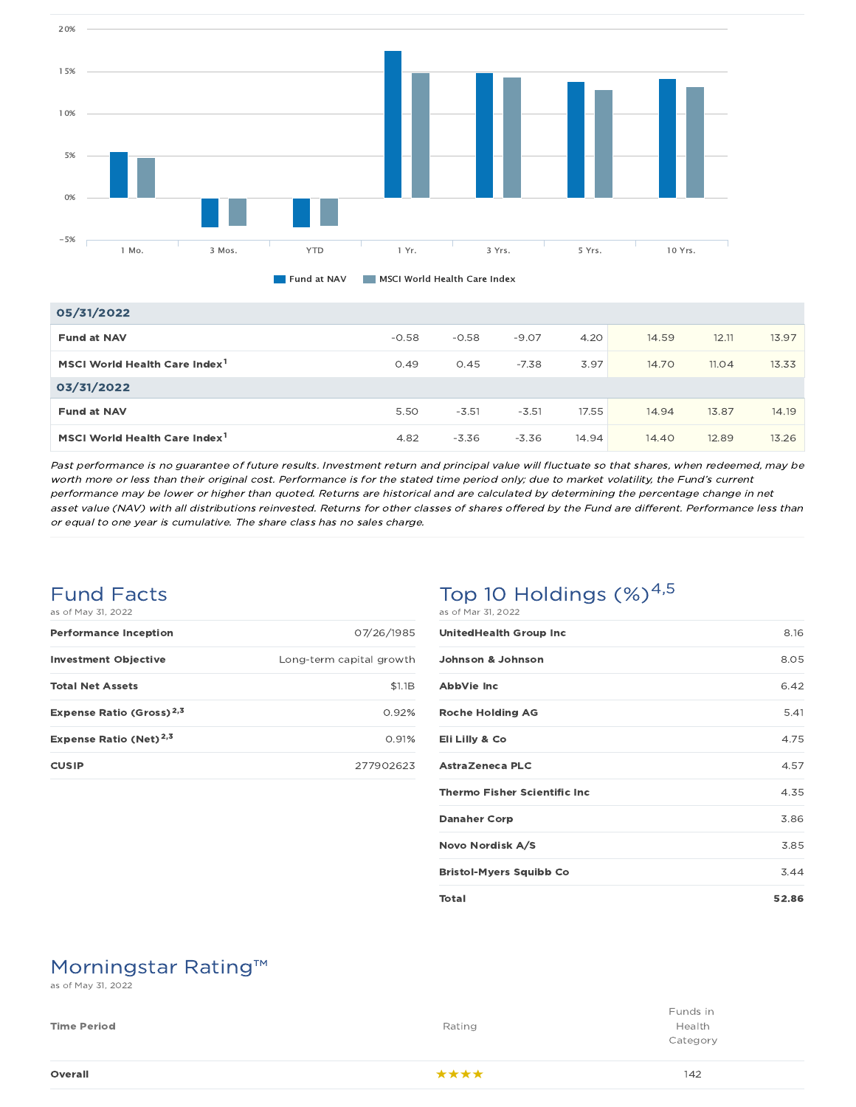



### 05/31/2022

| <b>Fund at NAV</b>                        | $-0.58$ | $-0.58$ | $-9.07$ | 4.20  | 14.59 | 12.11 | 13.97 |
|-------------------------------------------|---------|---------|---------|-------|-------|-------|-------|
| MSCI World Health Care Index <sup>1</sup> | 0.49    | 0.45    | $-7.38$ | 3.97  | 14.70 | 11.04 | 13.33 |
| 03/31/2022                                |         |         |         |       |       |       |       |
| <b>Fund at NAV</b>                        | 5.50    | $-3.51$ | $-3.51$ | 17.55 | 14.94 | 13.87 | 14.19 |
| MSCI World Health Care Index <sup>1</sup> | 4.82    | $-3.36$ | $-3.36$ | 14.94 | 14.40 | 12.89 | 13.26 |

Past performance is no guarantee of future results. Investment return and principal value will fluctuate so that shares, when redeemed, may be worth more or less than their original cost. Performance is for the stated time period only; due to market volatility, the Fund's current performance may be lower or higher than quoted. Returns are historical and are calculated by determining the percentage change in net asset value (NAV) with all distributions reinvested. Returns for other classes of shares offered by the Fund are different. Performance less than or equal to one year is cumulative. The share class has no sales charge.

### Fund Facts as of May 31, 2022

| <b>Performance Inception</b>         | 07/26/1985               |
|--------------------------------------|--------------------------|
| <b>Investment Objective</b>          | Long-term capital growth |
| <b>Total Net Assets</b>              | \$1.1B                   |
| Expense Ratio (Gross) <sup>2,3</sup> | 0.92%                    |
| Expense Ratio (Net) <sup>2,3</sup>   | 0.91%                    |
| <b>CUSIP</b>                         | 277902623                |

### Top 10 Holdings  $(\%)^{4,5}$ as of Mar 31, 2022

| <b>UnitedHealth Group Inc</b>        | 8.16  |
|--------------------------------------|-------|
| Johnson & Johnson                    | 8.05  |
| AbbVie Inc                           | 6.42  |
| <b>Roche Holding AG</b>              | 5.41  |
| Eli Lilly & Co                       | 4.75  |
| AstraZeneca PLC                      | 4.57  |
| <b>Thermo Fisher Scientific Inc.</b> | 4.35  |
| <b>Danaher Corp</b>                  | 3.86  |
| Novo Nordisk A/S                     | 3.85  |
| <b>Bristol-Myers Squibb Co</b>       | 3.44  |
| Total                                | 52.86 |

## Morningstar Rating™

as of May 31, 2022

| Overall            | ****   | 142                            |
|--------------------|--------|--------------------------------|
| <b>Time Period</b> | Rating | Funds in<br>Health<br>Category |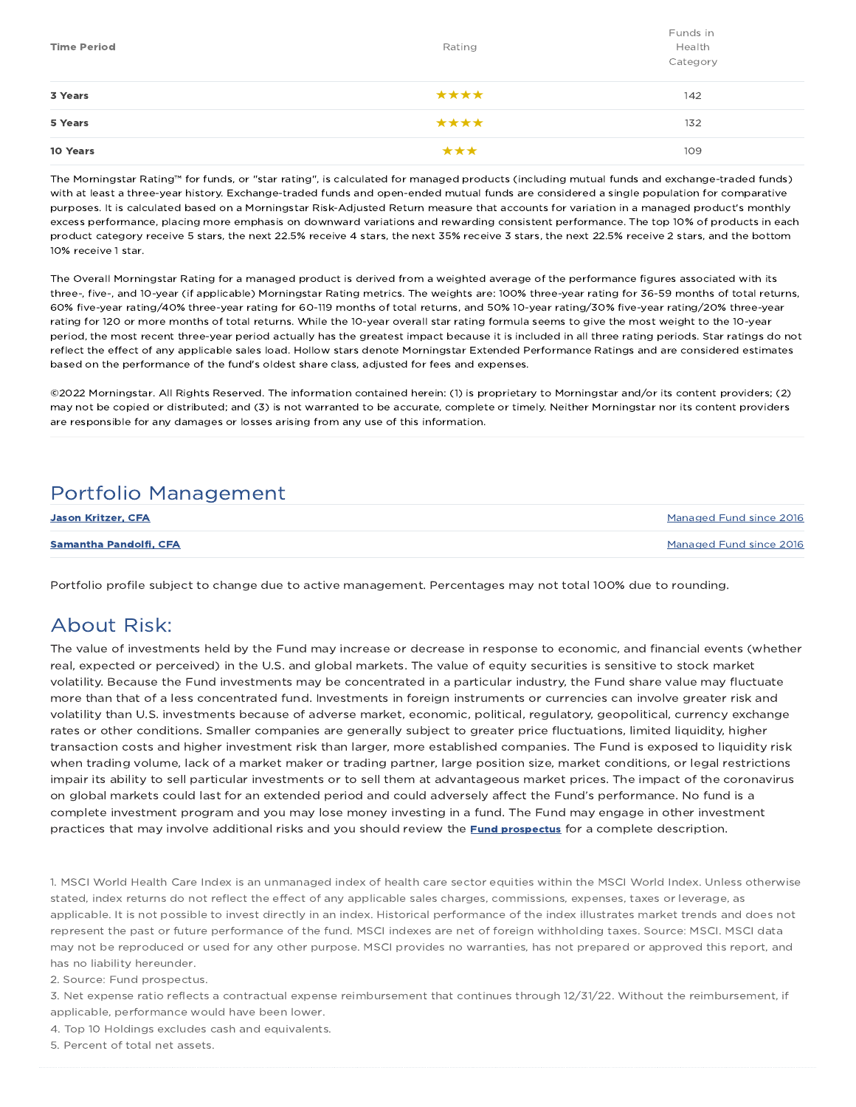| <b>Time Period</b> | Rating | Funds in<br>Health<br>Category |
|--------------------|--------|--------------------------------|
| 3 Years            | ****   | 142                            |
| 5 Years            | ****   | 132                            |
| 10 Years           | ***    | 109                            |

The Morningstar Rating™ for funds, or "star rating", is calculated for managed products (including mutual funds and exchange-traded funds) with at least a three-year history. Exchange-traded funds and open-ended mutual funds are considered a single population for comparative purposes. It is calculated based on a Morningstar Risk-Adjusted Return measure that accounts for variation in a managed product's monthly excess performance, placing more emphasis on downward variations and rewarding consistent performance. The top 10% of products in each product category receive 5 stars, the next 22.5% receive 4 stars, the next 35% receive 3 stars, the next 22.5% receive 2 stars, and the bottom 10% receive 1 star.

The Overall Morningstar Rating for a managed product is derived from a weighted average of the performance figures associated with its three-, five-, and 10-year (if applicable) Morningstar Rating metrics. The weights are: 100% three-year rating for 36-59 months of total returns, 60% five-year rating/40% three-year rating for 60-119 months of total returns, and 50% 10-year rating/30% five-year rating/20% three-year rating for 120 or more months of total returns. While the 10-year overall star rating formula seems to give the most weight to the 10-year period, the most recent three-year period actually has the greatest impact because it is included in all three rating periods. Star ratings do not reflect the effect of any applicable sales load. Hollow stars denote Morningstar Extended Performance Ratings and are considered estimates based on the performance of the fund's oldest share class, adjusted for fees and expenses.

©2022 Morningstar. All Rights Reserved. The information contained herein: (1) is proprietary to Morningstar and/or its content providers; (2) may not be copied or distributed; and (3) is not warranted to be accurate, complete or timely. Neither Morningstar nor its content providers are responsible for any damages or losses arising from any use of this information.

### Portfolio Management

| <b>Jason Kritzer, CFA</b>     | Managed Fund since 2016 |
|-------------------------------|-------------------------|
| <b>Samantha Pandolfi, CFA</b> | Managed Fund since 2016 |

Portfolio profile subject to change due to active management. Percentages may not total 100% due to rounding.

### About Risk:

The value of investments held by the Fund may increase or decrease in response to economic, and financial events (whether real, expected or perceived) in the U.S. and global markets. The value of equity securities is sensitive to stock market volatility. Because the Fund investments may be concentrated in a particular industry, the Fund share value may fluctuate more than that of a less concentrated fund. Investments in foreign instruments or currencies can involve greater risk and volatility than U.S. investments because of adverse market, economic, political, regulatory, geopolitical, currency exchange rates or other conditions. Smaller companies are generally subject to greater price fluctuations, limited liquidity, higher transaction costs and higher investment risk than larger, more established companies. The Fund is exposed to liquidity risk when trading volume, lack of a market maker or trading partner, large position size, market conditions, or legal restrictions impair its ability to sell particular investments or to sell them at advantageous market prices. The impact of the coronavirus on global markets could last for an extended period and could adversely affect the Fund's performance. No fund is a complete investment program and you may lose money investing in a fund. The Fund may engage in other investment practices that may involve additional risks and you should review the **Fund prospectus** for a complete description.

1. MSCI World Health Care Index is an unmanaged index of health care sector equities within the MSCI World Index. Unless otherwise stated, index returns do not reflect the effect of any applicable sales charges, commissions, expenses, taxes or leverage, as applicable. It is not possible to invest directly in an index. Historical performance of the index illustrates market trends and does not represent the past or future performance of the fund. MSCI indexes are net of foreign withholding taxes. Source: MSCI. MSCI data may not be reproduced or used for any other purpose. MSCI provides no warranties, has not prepared or approved this report, and has no liability hereunder.

2. Source: Fund prospectus.

3. Net expense ratio reflects a contractual expense reimbursement that continues through 12/31/22. Without the reimbursement, if applicable, performance would have been lower.

4. Top 10 Holdings excludes cash and equivalents.

5. Percent of total net assets.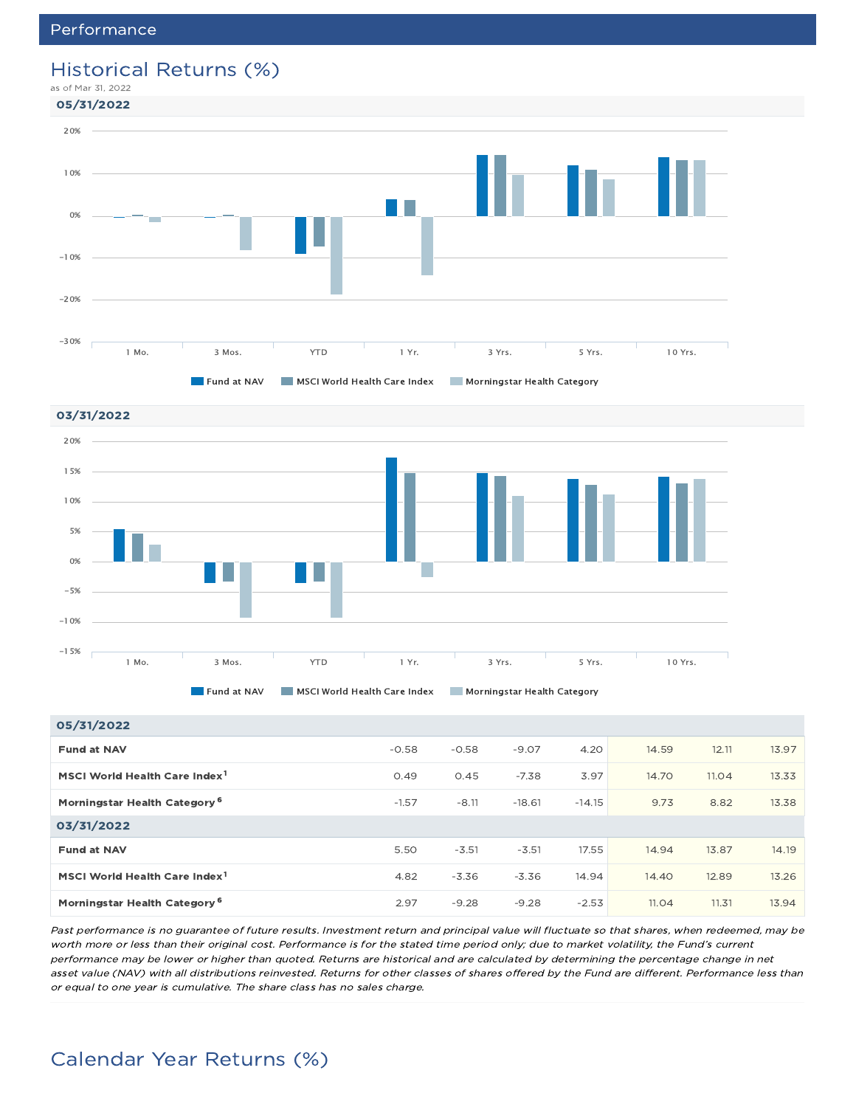### Historical Returns (%)







#### 05/31/2022

| ---------                                 |         |         |          |          |       |       |       |
|-------------------------------------------|---------|---------|----------|----------|-------|-------|-------|
| <b>Fund at NAV</b>                        | $-0.58$ | $-0.58$ | $-9.07$  | 4.20     | 14.59 | 12.11 | 13.97 |
| MSCI World Health Care Index <sup>1</sup> | 0.49    | 0.45    | $-7.38$  | 3.97     | 14.70 | 11.04 | 13.33 |
| Morningstar Health Category <sup>6</sup>  | $-1.57$ | $-8.11$ | $-18.61$ | $-14.15$ | 9.73  | 8.82  | 13.38 |
| 03/31/2022                                |         |         |          |          |       |       |       |
| <b>Fund at NAV</b>                        | 5.50    | $-3.51$ | $-3.51$  | 17.55    | 14.94 | 13.87 | 14.19 |
| MSCI World Health Care Index <sup>1</sup> | 4.82    | $-3.36$ | $-3.36$  | 14.94    | 14.40 | 12.89 | 13.26 |
| Morningstar Health Category <sup>6</sup>  | 2.97    | $-9.28$ | $-9.28$  | $-2.53$  | 11.04 | 11.31 | 13.94 |

Past performance is no guarantee of future results. Investment return and principal value will fluctuate so that shares, when redeemed, may be worth more or less than their original cost. Performance is for the stated time period only; due to market volatility, the Fund's current performance may be lower or higher than quoted. Returns are historical and are calculated by determining the percentage change in net asset value (NAV) with all distributions reinvested. Returns for other classes of shares offered by the Fund are different. Performance less than or equal to one year is cumulative. The share class has no sales charge.

## Calendar Year Returns (%)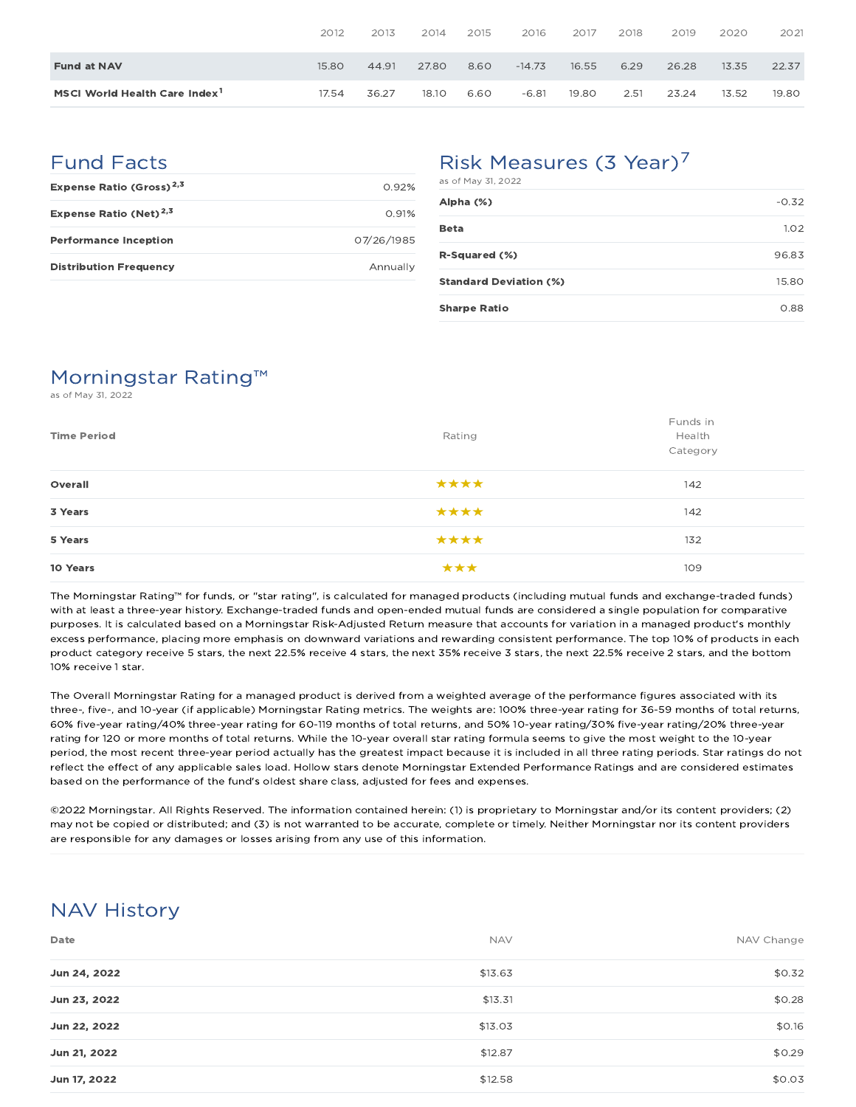|                                           | 2012  | 2013  | 2014  | 2015 | 2016     | 2017  | 2018 | 2019  | 2020  | 2021  |
|-------------------------------------------|-------|-------|-------|------|----------|-------|------|-------|-------|-------|
| <b>Fund at NAV</b>                        | 15.80 | 44.91 | 27.80 | 8.60 | $-14.73$ | 16.55 | 6.29 | 26.28 | 13.35 | 22.37 |
| MSCI World Health Care Index <sup>1</sup> | 17.54 | 36.27 | 18.10 | 6.60 | $-6.81$  | 19.80 | 2.51 | 23.24 | 13.52 | 19.80 |

### Fund Facts

| Expense Ratio (Gross) <sup>2,3</sup> | O 92%      |
|--------------------------------------|------------|
| Expense Ratio (Net) <sup>2,3</sup>   | 0.91%      |
| <b>Performance Inception</b>         | 07/26/1985 |
| <b>Distribution Frequency</b>        | Annually   |

## Risk Measures (3 Year)<sup>7</sup>

| as of May 31, 2022            |         |
|-------------------------------|---------|
| Alpha (%)                     | $-0.32$ |
| <b>Beta</b>                   | 1.02    |
| R-Squared (%)                 | 96.83   |
| <b>Standard Deviation (%)</b> | 15.80   |
| <b>Sharpe Ratio</b>           | 0.88    |

## Morningstar Rating™

as of May 31, 2022

| <b>Time Period</b> | Rating | Funds in<br>Health<br>Category |
|--------------------|--------|--------------------------------|
| Overall            | ****   | 142                            |
| 3 Years            | ****   | 142                            |
| 5 Years            | ****   | 132                            |
| 10 Years           | ***    | 109                            |

The Morningstar Rating™ for funds, or "star rating", is calculated for managed products (including mutual funds and exchange-traded funds) with at least a three-year history. Exchange-traded funds and open-ended mutual funds are considered a single population for comparative purposes. It is calculated based on a Morningstar Risk-Adjusted Return measure that accounts for variation in a managed product's monthly excess performance, placing more emphasis on downward variations and rewarding consistent performance. The top 10% of products in each product category receive 5 stars, the next 22.5% receive 4 stars, the next 35% receive 3 stars, the next 22.5% receive 2 stars, and the bottom 10% receive 1 star.

The Overall Morningstar Rating for a managed product is derived from a weighted average of the performance figures associated with its three-, five-, and 10-year (if applicable) Morningstar Rating metrics. The weights are: 100% three-year rating for 36-59 months of total returns, 60% five-year rating/40% three-year rating for 60-119 months of total returns, and 50% 10-year rating/30% five-year rating/20% three-year rating for 120 or more months of total returns. While the 10-year overall star rating formula seems to give the most weight to the 10-year period, the most recent three-year period actually has the greatest impact because it is included in all three rating periods. Star ratings do not reflect the effect of any applicable sales load. Hollow stars denote Morningstar Extended Performance Ratings and are considered estimates based on the performance of the fund's oldest share class, adjusted for fees and expenses.

©2022 Morningstar. All Rights Reserved. The information contained herein: (1) is proprietary to Morningstar and/or its content providers; (2) may not be copied or distributed; and (3) is not warranted to be accurate, complete or timely. Neither Morningstar nor its content providers are responsible for any damages or losses arising from any use of this information.

### NAV History

| Date         | <b>NAV</b> | NAV Change |
|--------------|------------|------------|
| Jun 24, 2022 | \$13.63    | \$0.32     |
| Jun 23, 2022 | \$13.31    | \$0.28     |
| Jun 22, 2022 | \$13.03    | \$0.16     |
| Jun 21, 2022 | \$12.87    | \$0.29     |
| Jun 17, 2022 | \$12.58    | \$0.03     |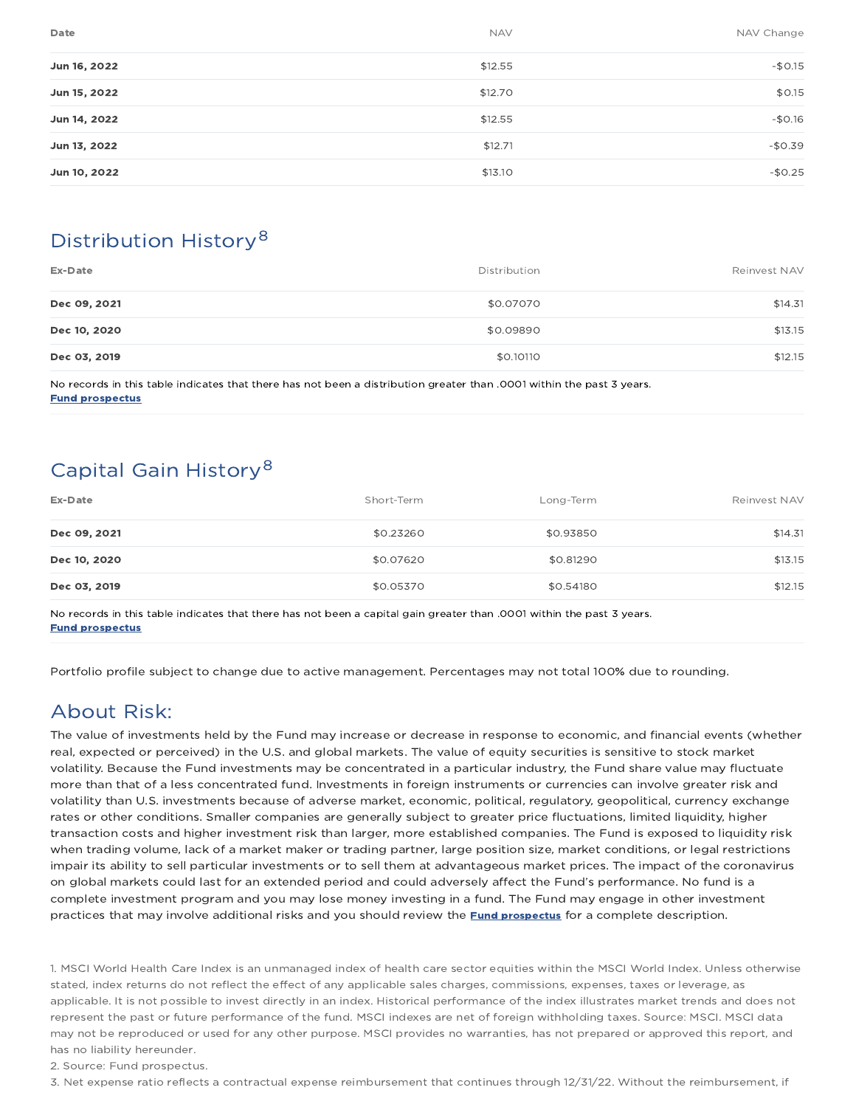| Date<br><b>NAV</b>      | NAV Change |
|-------------------------|------------|
| \$12.55<br>Jun 16, 2022 | $-$0.15$   |
| \$12.70<br>Jun 15, 2022 | \$0.15     |
| \$12.55<br>Jun 14, 2022 | $-$0.16$   |
| \$12.71<br>Jun 13, 2022 | $-$0.39$   |
| \$13.10<br>Jun 10, 2022 | $-$0.25$   |

## Distribution History 8

| Ex-Date      | Distribution | Reinvest NAV |
|--------------|--------------|--------------|
| Dec 09, 2021 | \$0.07070    | \$14.31      |
| Dec 10, 2020 | \$0.09890    | \$13.15      |
| Dec 03, 2019 | \$0.10110    | \$12.15      |
|              |              |              |

No records in this table indicates that there has not been a distribution greater than .0001 within the past 3 years. Fund prospectus

## Capital Gain History<sup>8</sup>

| Ex-Date      | Short-Term | Long-Term | Reinvest NAV |
|--------------|------------|-----------|--------------|
| Dec 09, 2021 | \$0.23260  | \$0.93850 | \$14.31      |
| Dec 10, 2020 | \$0.07620  | \$0.81290 | \$13.15      |
| Dec 03, 2019 | \$0.05370  | \$0.54180 | \$12.15      |

No records in this table indicates that there has not been a capital gain greater than .0001 within the past 3 years. Fund prospectus

Portfolio profile subject to change due to active management. Percentages may not total 100% due to rounding.

## About Risk:

The value of investments held by the Fund may increase or decrease in response to economic, and financial events (whether real, expected or perceived) in the U.S. and global markets. The value of equity securities is sensitive to stock market volatility. Because the Fund investments may be concentrated in a particular industry, the Fund share value may fluctuate more than that of a less concentrated fund. Investments in foreign instruments or currencies can involve greater risk and volatility than U.S. investments because of adverse market, economic, political, regulatory, geopolitical, currency exchange rates or other conditions. Smaller companies are generally subject to greater price fluctuations, limited liquidity, higher transaction costs and higher investment risk than larger, more established companies. The Fund is exposed to liquidity risk when trading volume, lack of a market maker or trading partner, large position size, market conditions, or legal restrictions impair its ability to sell particular investments or to sell them at advantageous market prices. The impact of the coronavirus on global markets could last for an extended period and could adversely affect the Fund's performance. No fund is a complete investment program and you may lose money investing in a fund. The Fund may engage in other investment practices that may involve additional risks and you should review the **Fund prospectus** for a complete description.

1. MSCI World Health Care Index is an unmanaged index of health care sector equities within the MSCI World Index. Unless otherwise stated, index returns do not reflect the effect of any applicable sales charges, commissions, expenses, taxes or leverage, as applicable. It is not possible to invest directly in an index. Historical performance of the index illustrates market trends and does not represent the past or future performance of the fund. MSCI indexes are net of foreign withholding taxes. Source: MSCI. MSCI data may not be reproduced or used for any other purpose. MSCI provides no warranties, has not prepared or approved this report, and has no liability hereunder.

2. Source: Fund prospectus.

3. Net expense ratio reflects a contractual expense reimbursement that continues through 12/31/22. Without the reimbursement, if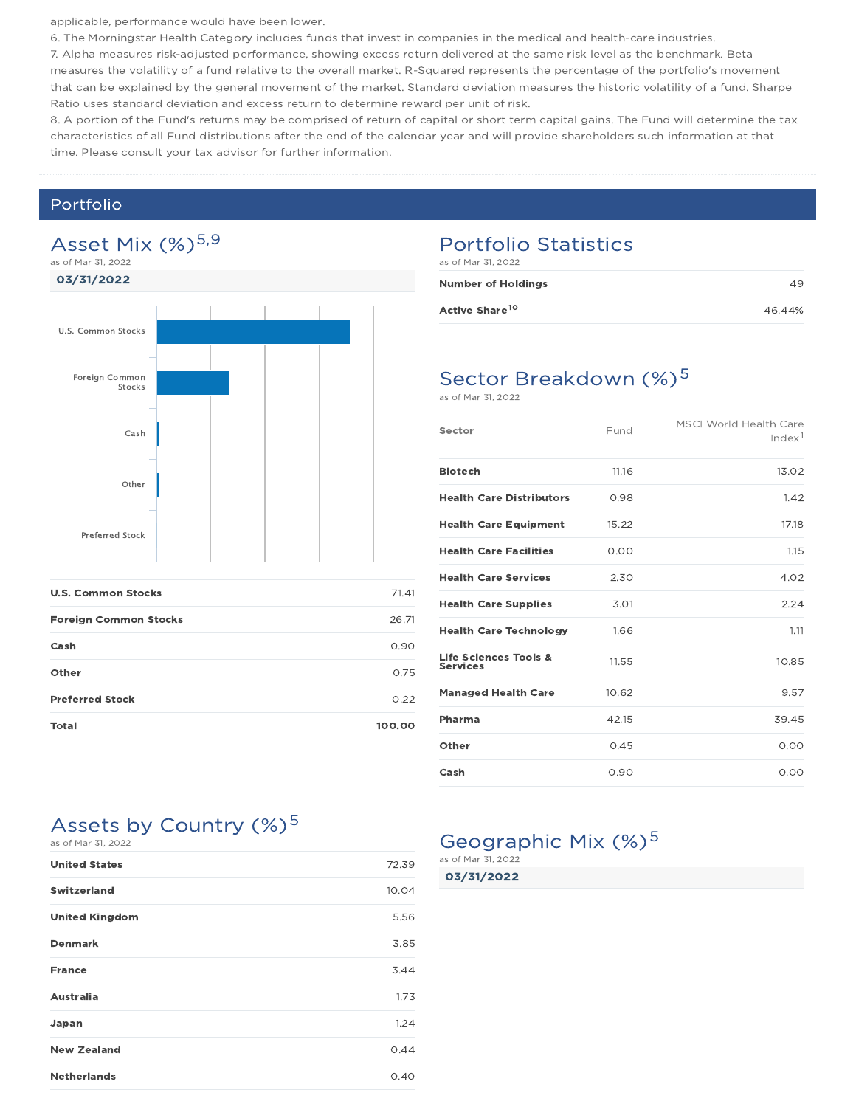applicable, performance would have been lower.

6. The Morningstar Health Category includes funds that invest in companies in the medical and health-care industries.

7. Alpha measures risk-adjusted performance, showing excess return delivered at the same risk level as the benchmark. Beta measures the volatility of a fund relative to the overall market. R-Squared represents the percentage of the portfolio's movement that can be explained by the general movement of the market. Standard deviation measures the historic volatility of a fund. Sharpe Ratio uses standard deviation and excess return to determine reward per unit of risk.

8. A portion of the Fund's returns may be comprised of return of capital or short term capital gains. The Fund will determine the tax characteristics of all Fund distributions after the end of the calendar year and will provide shareholders such information at that time. Please consult your tax advisor for further information.

### Portfolio



| <b>U.S. Common Stocks</b>    | 71.41  |
|------------------------------|--------|
| <b>Foreign Common Stocks</b> | 26.71  |
| Cash                         | 0.90   |
| Other                        | 0.75   |
| <b>Preferred Stock</b>       | 0.22   |
| Total                        | 100.00 |

### Portfolio Statistics

as of Mar 31, 2022

| <b>Number of Holdings</b>  | 49     |
|----------------------------|--------|
| Active Share <sup>10</sup> | 46.44% |

## Sector Breakdown (%)<sup>5</sup>

as of Mar 31, 2022

| Sector                                   | Fund  | <b>MSCI World Health Care</b><br>Index <sup>1</sup> |
|------------------------------------------|-------|-----------------------------------------------------|
| <b>Biotech</b>                           | 11.16 | 13.02                                               |
| <b>Health Care Distributors</b>          | 0.98  | 1.42                                                |
| <b>Health Care Equipment</b>             | 15.22 | 17.18                                               |
| <b>Health Care Facilities</b>            | 0.00  | 1.15                                                |
| <b>Health Care Services</b>              | 2.30  | 4.02                                                |
| <b>Health Care Supplies</b>              | 3.01  | 2.24                                                |
| <b>Health Care Technology</b>            | 1.66  | 1.11                                                |
| Life Sciences Tools &<br><b>Services</b> | 11.55 | 10.85                                               |
| <b>Managed Health Care</b>               | 10.62 | 9.57                                                |
| Pharma                                   | 42.15 | 39.45                                               |
| Other                                    | 0.45  | 0.00                                                |
| Cash                                     | 0.90  | 0.00                                                |

## Assets by Country (%)<sup>5</sup>

| as of Mar 31, 2022    |       |
|-----------------------|-------|
| <b>United States</b>  | 72.39 |
| <b>Switzerland</b>    | 10.04 |
| <b>United Kingdom</b> | 5.56  |
| <b>Denmark</b>        | 3.85  |
| <b>France</b>         | 3.44  |
| <b>Australia</b>      | 1.73  |
| Japan                 | 1.24  |
| <b>New Zealand</b>    | 0.44  |
| <b>Netherlands</b>    | 0.40  |

## Geographic Mix (%)<sup>5</sup>

03/31/2022 as of Mar 31, 2022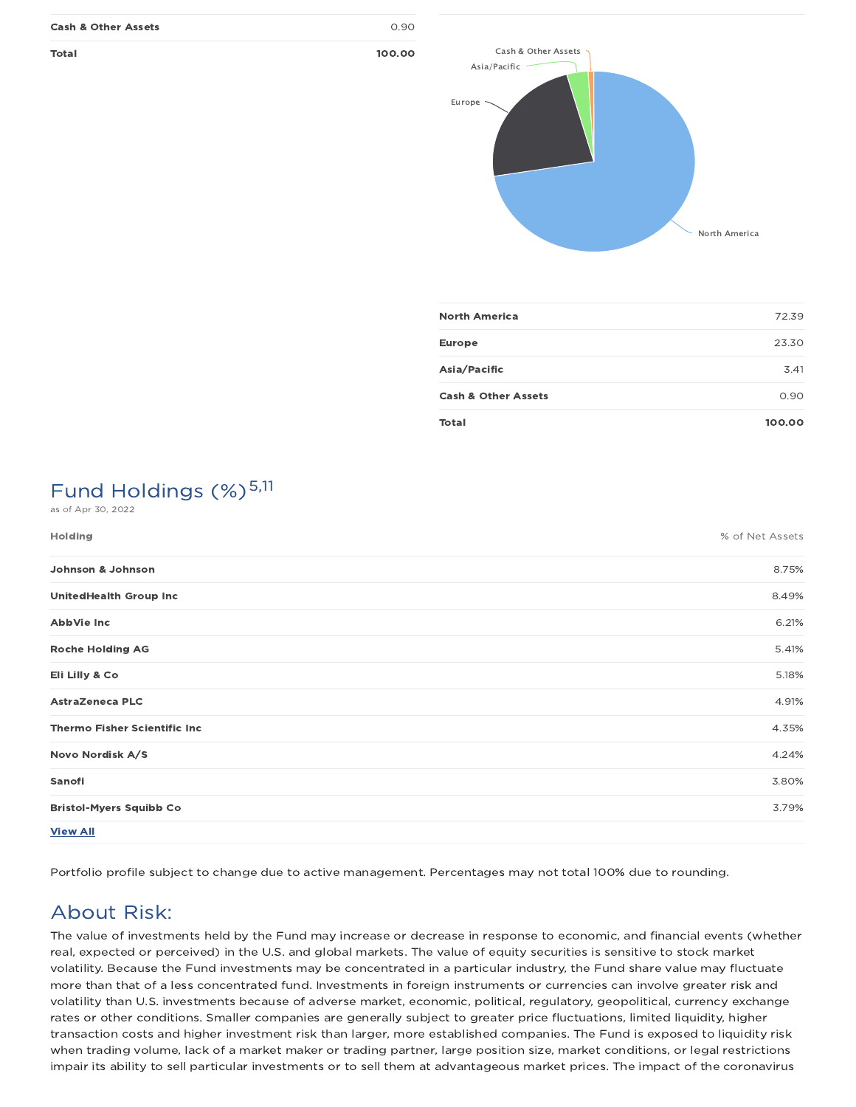| <b>Cash &amp; Other Assets</b> | 0.90   |
|--------------------------------|--------|
| Total                          | 100.00 |



| <b>North America</b>           | 72.39  |
|--------------------------------|--------|
| Europe                         | 23.30  |
| Asia/Pacific                   | 3.41   |
| <b>Cash &amp; Other Assets</b> | 0.90   |
| Total                          | 100.00 |

## Fund Holdings (%)<sup>5,11</sup>

as of Apr 30, 2022

| <b>Holding</b>                      | % of Net Assets |
|-------------------------------------|-----------------|
| Johnson & Johnson                   | 8.75%           |
| <b>UnitedHealth Group Inc</b>       | 8.49%           |
| AbbVie Inc                          | 6.21%           |
| <b>Roche Holding AG</b>             | 5.41%           |
| Eli Lilly & Co                      | 5.18%           |
| <b>AstraZeneca PLC</b>              | 4.91%           |
| <b>Thermo Fisher Scientific Inc</b> | 4.35%           |
| Novo Nordisk A/S                    | 4.24%           |
| Sanofi                              | 3.80%           |
| <b>Bristol-Myers Squibb Co</b>      | 3.79%           |
| <b>View All</b>                     |                 |

Portfolio profile subject to change due to active management. Percentages may not total 100% due to rounding.

## About Risk:

The value of investments held by the Fund may increase or decrease in response to economic, and financial events (whether real, expected or perceived) in the U.S. and global markets. The value of equity securities is sensitive to stock market volatility. Because the Fund investments may be concentrated in a particular industry, the Fund share value may fluctuate more than that of a less concentrated fund. Investments in foreign instruments or currencies can involve greater risk and volatility than U.S. investments because of adverse market, economic, political, regulatory, geopolitical, currency exchange rates or other conditions. Smaller companies are generally subject to greater price fluctuations, limited liquidity, higher transaction costs and higher investment risk than larger, more established companies. The Fund is exposed to liquidity risk when trading volume, lack of a market maker or trading partner, large position size, market conditions, or legal restrictions impair its ability to sell particular investments or to sell them at advantageous market prices. The impact of the coronavirus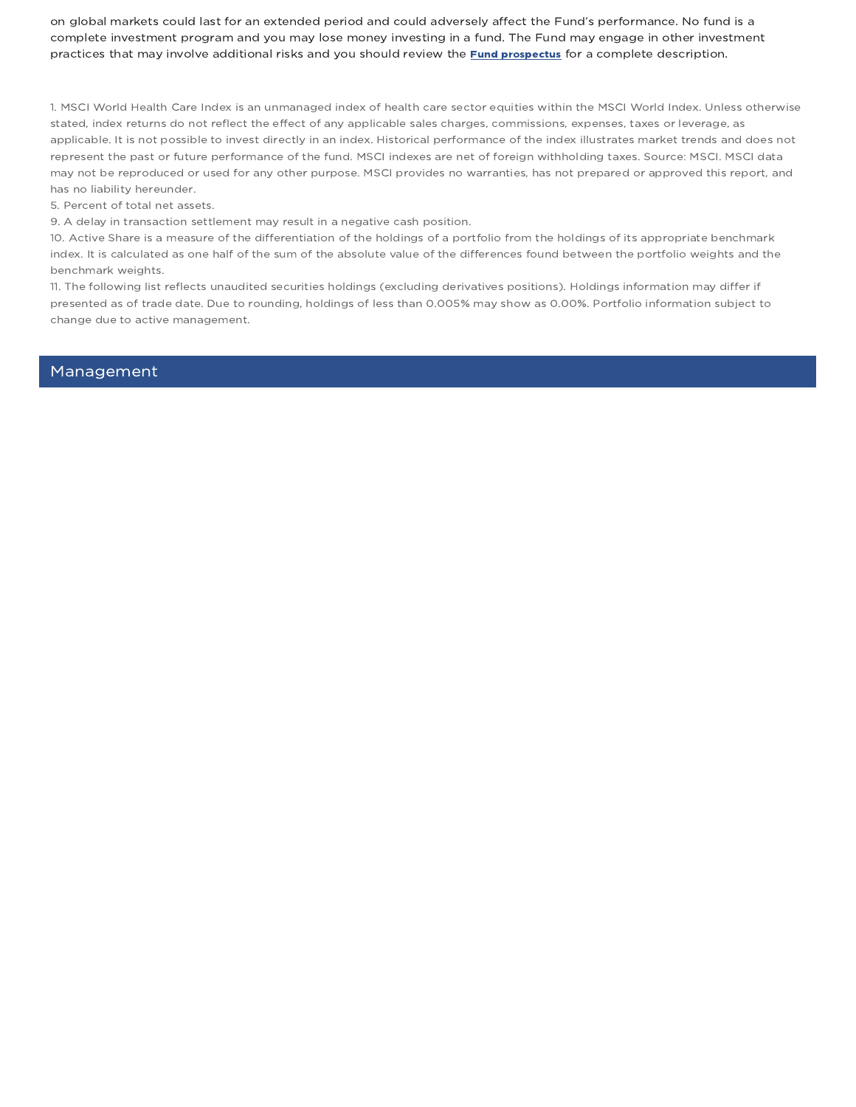on global markets could last for an extended period and could adversely affect the Fund's performance. No fund is a complete investment program and you may lose money investing in a fund. The Fund may engage in other investment practices that may involve additional risks and you should review the **Fund prospectus** for a complete description.

1. MSCI World Health Care Index is an unmanaged index of health care sector equities within the MSCI World Index. Unless otherwise stated, index returns do not reflect the effect of any applicable sales charges, commissions, expenses, taxes or leverage, as applicable. It is not possible to invest directly in an index. Historical performance of the index illustrates market trends and does not represent the past or future performance of the fund. MSCI indexes are net of foreign withholding taxes. Source: MSCI. MSCI data may not be reproduced or used for any other purpose. MSCI provides no warranties, has not prepared or approved this report, and has no liability hereunder.

5. Percent of total net assets.

9. A delay in transaction settlement may result in a negative cash position.

10. Active Share is a measure of the differentiation of the holdings of a portfolio from the holdings of its appropriate benchmark index. It is calculated as one half of the sum of the absolute value of the differences found between the portfolio weights and the benchmark weights.

11. The following list reflects unaudited securities holdings (excluding derivatives positions). Holdings information may differ if presented as of trade date. Due to rounding, holdings of less than 0.005% may show as 0.00%. Portfolio information subject to change due to active management.

Management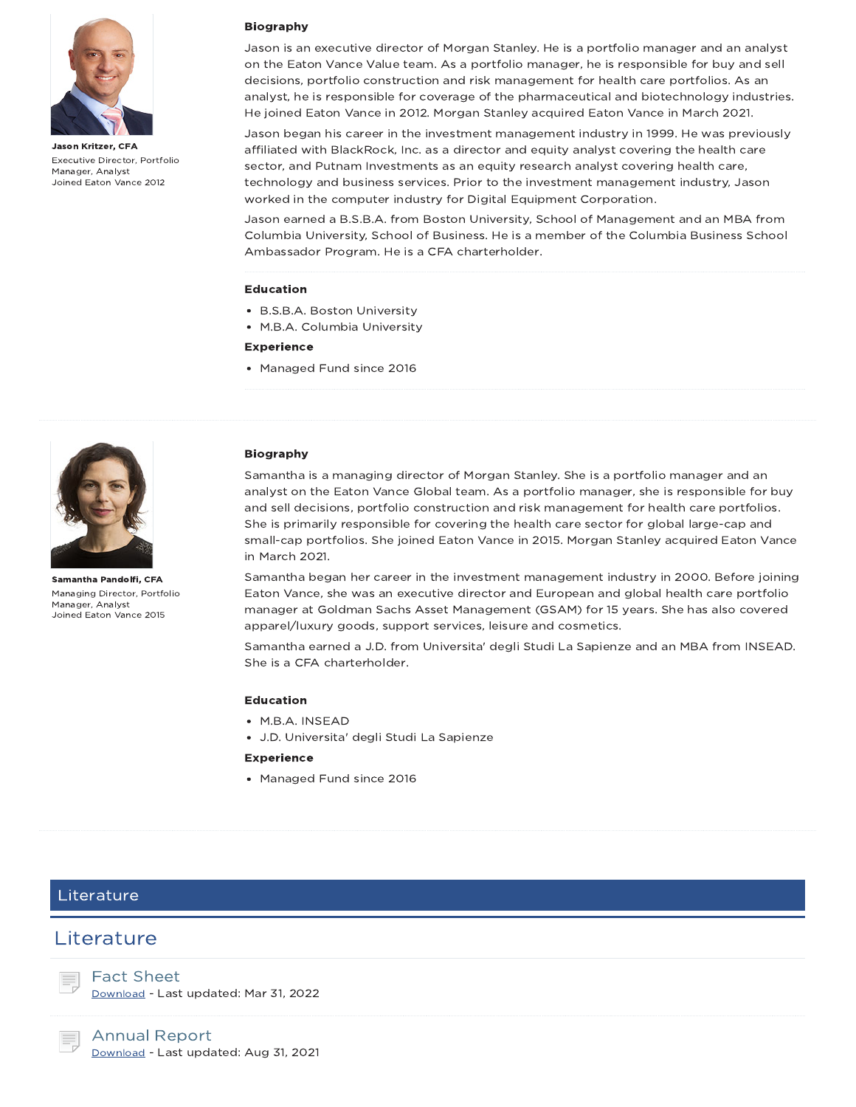

Jason Kritzer, CFA Executive Director, Portfolio Manager, Analyst Joined Eaton Vance 2012

#### Biography

Jason is an executive director of Morgan Stanley. He is a portfolio manager and an analyst on the Eaton Vance Value team. As a portfolio manager, he is responsible for buy and sell decisions, portfolio construction and risk management for health care portfolios. As an analyst, he is responsible for coverage of the pharmaceutical and biotechnology industries. He joined Eaton Vance in 2012. Morgan Stanley acquired Eaton Vance in March 2021.

Jason began his career in the investment management industry in 1999. He was previously affiliated with BlackRock, Inc. as a director and equity analyst covering the health care sector, and Putnam Investments as an equity research analyst covering health care, technology and business services. Prior to the investment management industry, Jason worked in the computer industry for Digital Equipment Corporation.

Jason earned a B.S.B.A. from Boston University, School of Management and an MBA from Columbia University, School of Business. He is a member of the Columbia Business School Ambassador Program. He is a CFA charterholder.

#### Education

- B.S.B.A. Boston University
- M.B.A. Columbia University

#### Experience

Managed Fund since 2016



Samantha Pandolfi, CFA Managing Director, Portfolio Manager, Analyst Joined Eaton Vance 2015

#### Biography

Samantha is a managing director of Morgan Stanley. She is a portfolio manager and an analyst on the Eaton Vance Global team. As a portfolio manager, she is responsible for buy and sell decisions, portfolio construction and risk management for health care portfolios. She is primarily responsible for covering the health care sector for global large-cap and small-cap portfolios. She joined Eaton Vance in 2015. Morgan Stanley acquired Eaton Vance in March 2021.

Samantha began her career in the investment management industry in 2000. Before joining Eaton Vance, she was an executive director and European and global health care portfolio manager at Goldman Sachs Asset Management (GSAM) for 15 years. She has also covered apparel/luxury goods, support services, leisure and cosmetics.

Samantha earned a J.D. from Universita' degli Studi La Sapienze and an MBA from INSEAD. She is a CFA charterholder.

#### Education

- M.B.A. INSEAD
- J.D. Universita' degli Studi La Sapienze
- **Experience**
- Managed Fund since 2016

### Literature

### **Literature**



Download - Last updated: Mar 31, 2022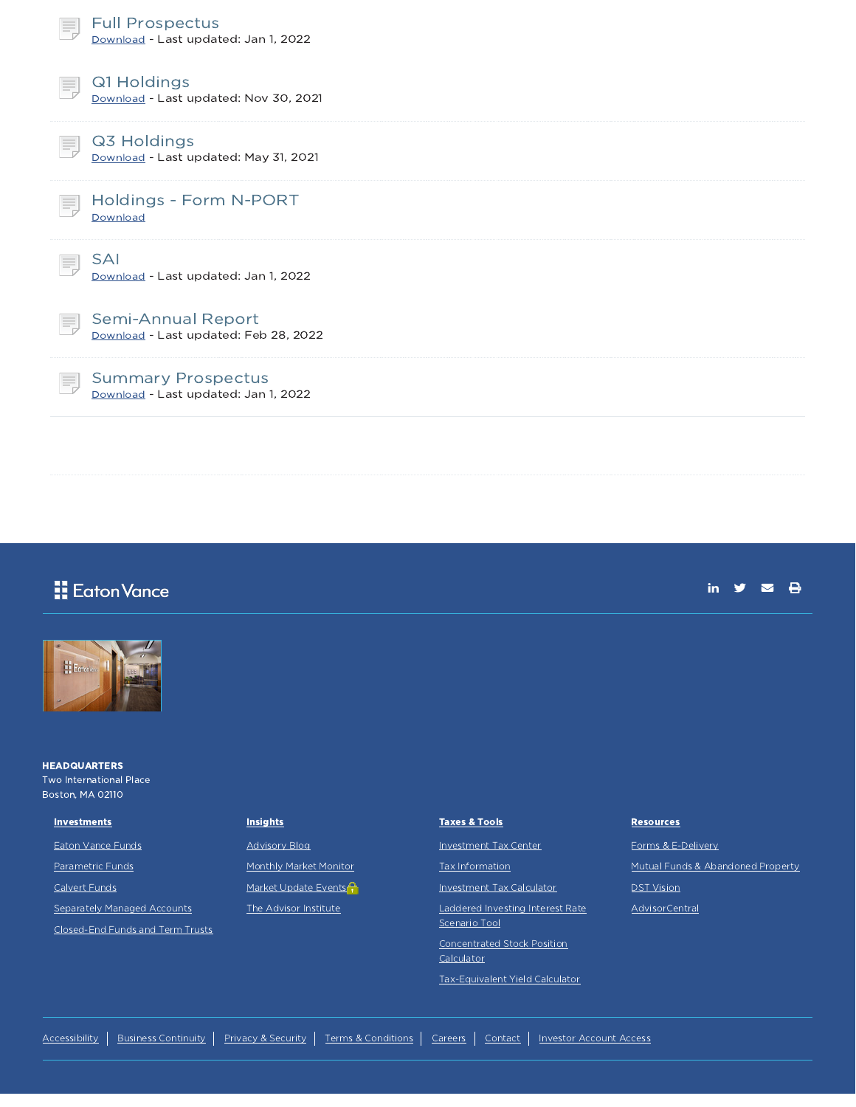| <b>Full Prospectus</b><br>Download - Last updated: Jan 1, 2022          |
|-------------------------------------------------------------------------|
| Q1 Holdings<br>Ę<br>Download - Last updated: Nov 30, 2021               |
| Q3 Holdings<br>Ξ.<br>Download - Last updated: May 31, 2021              |
| Holdings - Form N-PORT<br>Download                                      |
| <b>SAI</b><br>Download - Last updated: Jan 1, 2022                      |
| Semi-Annual Report<br>E,<br>Download - Last updated: Feb 28, 2022       |
| <b>Summary Prospectus</b><br>Ξ,<br>Download - Last updated: Jan 1, 2022 |
|                                                                         |

## Eaton Vance



**HEADQUARTERS** Two International Place Boston, MA 02110

#### **Investments**

Eaton Vance Funds

Parametric Funds

Calvert Funds

Separately Managed Accounts

Closed-End Funds and Term Trusts

### **Insights**

Advisory Blog

Monthly Market Monitor

Market Update Events<sup>2</sup>

The Advisor Institute

#### Taxes & Tools

Investment Tax Center

Tax Information

Investment Tax Calculator

Laddered Investing Interest Rate

Scenario Tool Concentrated Stock Position

**Calculator** 

Tax-Equivalent Yield Calculator

#### **Resources**

Forms & E-Delivery Mutual Funds & Abandoned Property DST Vision

in  $y = 0$ 

**AdvisorCentral** 

Accessibility | Business Continuity | Privacy & Security | Terms & Conditions | Careers | Contact | Investor Account Access